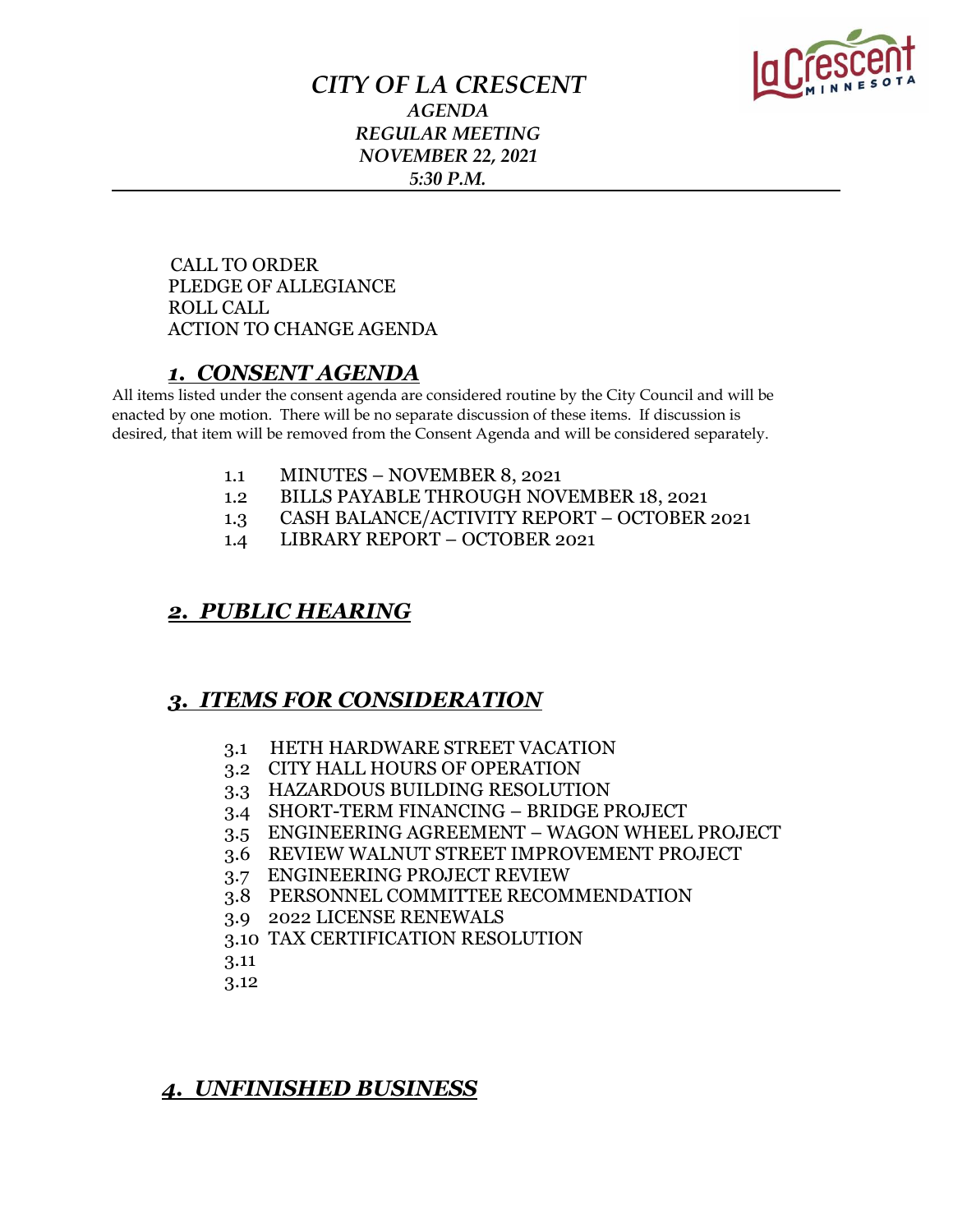

### *CITY OF LA CRESCENT AGENDA REGULAR MEETING NOVEMBER 22, 2021 5:30 P.M.*

 CALL TO ORDER PLEDGE OF ALLEGIANCE ROLL CALL ACTION TO CHANGE AGENDA

### *1. CONSENT AGENDA*

All items listed under the consent agenda are considered routine by the City Council and will be enacted by one motion. There will be no separate discussion of these items. If discussion is desired, that item will be removed from the Consent Agenda and will be considered separately.

- 1.1 MINUTES NOVEMBER 8, 2021
- 1.2 BILLS PAYABLE THROUGH NOVEMBER 18, 2021
- 1.3 CASH BALANCE/ACTIVITY REPORT OCTOBER 2021
- 1.4 LIBRARY REPORT OCTOBER 2021

#### *2. PUBLIC HEARING*

### *3. ITEMS FOR CONSIDERATION*

- 3.1 HETH HARDWARE STREET VACATION
- 3.2 CITY HALL HOURS OF OPERATION
- 3.3 HAZARDOUS BUILDING RESOLUTION
- 3.4 SHORT-TERM FINANCING BRIDGE PROJECT
- 3.5 ENGINEERING AGREEMENT WAGON WHEEL PROJECT
- 3.6 REVIEW WALNUT STREET IMPROVEMENT PROJECT
- 3.7 ENGINEERING PROJECT REVIEW
- 3.8 PERSONNEL COMMITTEE RECOMMENDATION
- 3.9 2022 LICENSE RENEWALS
- 3.10 TAX CERTIFICATION RESOLUTION
- 3.11
- 3.12

## *4. UNFINISHED BUSINESS*